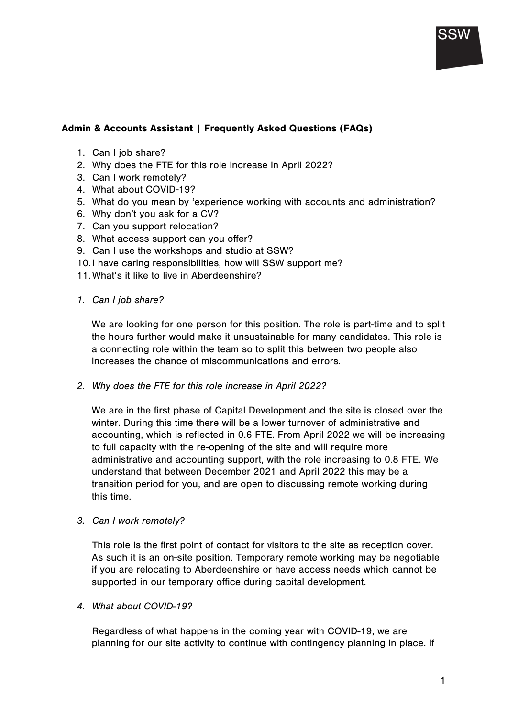## Admin & Accounts Assistant | Frequently Asked Questions (FAQs)

- 1. Can I job share?
- 2. Why does the FTE for this role increase in April 2022?
- 3. Can I work remotely?
- 4. What about COVID-19?
- 5. What do you mean by 'experience working with accounts and administration?
- 6. Why don't you ask for a CV?
- 7. Can you support relocation?
- 8. What access support can you offer?
- 9. Can I use the workshops and studio at SSW?
- 10. I have caring responsibilities, how will SSW support me?
- 11. What's it like to live in Aberdeenshire?
- *1. Can I job share?*

We are looking for one person for this position. The role is part-time and to split the hours further would make it unsustainable for many candidates. This role is a connecting role within the team so to split this between two people also increases the chance of miscommunications and errors.

*2. Why does the FTE for this role increase in April 2022?*

We are in the first phase of Capital Development and the site is closed over the winter. During this time there will be a lower turnover of administrative and accounting, which is reflected in 0.6 FTE. From April 2022 we will be increasing to full capacity with the re-opening of the site and will require more administrative and accounting support, with the role increasing to 0.8 FTE. We understand that between December 2021 and April 2022 this may be a transition period for you, and are open to discussing remote working during this time.

*3. Can I work remotely?* 

This role is the first point of contact for visitors to the site as reception cover. As such it is an on-site position. Temporary remote working may be negotiable if you are relocating to Aberdeenshire or have access needs which cannot be supported in our temporary office during capital development.

*4. What about COVID-19?* 

Regardless of what happens in the coming year with COVID-19, we are planning for our site activity to continue with contingency planning in place. If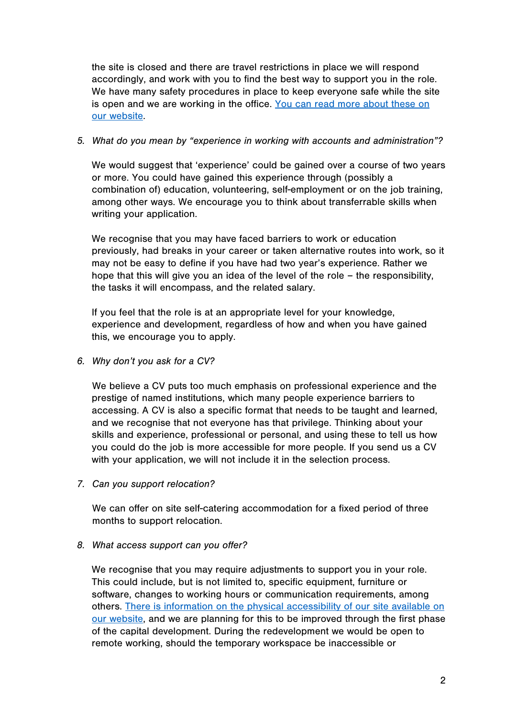the site is closed and there are travel restrictions in place we will respond accordingly, and work with you to find the best way to support you in the role. We have many safety procedures in place to keep everyone safe while the site is open and we are working in the office. You can read more about these on our website.

## *5. What do you mean by "experience in working with accounts and administration"?*

We would suggest that 'experience' could be gained over a course of two years or more. You could have gained this experience through (possibly a combination of) education, volunteering, self-employment or on the job training, among other ways. We encourage you to think about transferrable skills when writing your application.

We recognise that you may have faced barriers to work or education previously, had breaks in your career or taken alternative routes into work, so it may not be easy to define if you have had two year's experience. Rather we hope that this will give you an idea of the level of the role – the responsibility, the tasks it will encompass, and the related salary.

If you feel that the role is at an appropriate level for your knowledge, experience and development, regardless of how and when you have gained this, we encourage you to apply.

*6. Why don't you ask for a CV?* 

We believe a CV puts too much emphasis on professional experience and the prestige of named institutions, which many people experience barriers to accessing. A CV is also a specific format that needs to be taught and learned, and we recognise that not everyone has that privilege. Thinking about your skills and experience, professional or personal, and using these to tell us how you could do the job is more accessible for more people. If you send us a CV with your application, we will not include it in the selection process.

*7. Can you support relocation?* 

We can offer on site self-catering accommodation for a fixed period of three months to support relocation.

*8. What access support can you offer?* 

We recognise that you may require adjustments to support you in your role. This could include, but is not limited to, specific equipment, furniture or software, changes to working hours or communication requirements, among others. There is information on the physical accessibility of our site available on our website, and we are planning for this to be improved through the first phase of the capital development. During the redevelopment we would be open to remote working, should the temporary workspace be inaccessible or